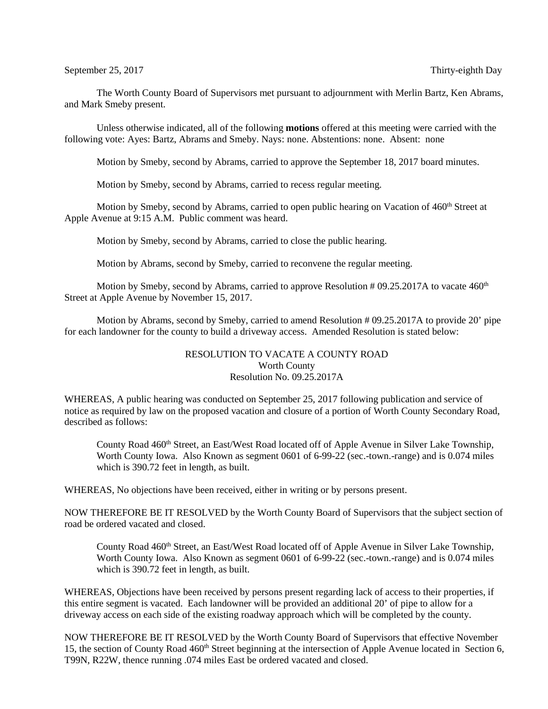The Worth County Board of Supervisors met pursuant to adjournment with Merlin Bartz, Ken Abrams, and Mark Smeby present.

Unless otherwise indicated, all of the following **motions** offered at this meeting were carried with the following vote: Ayes: Bartz, Abrams and Smeby. Nays: none. Abstentions: none. Absent: none

Motion by Smeby, second by Abrams, carried to approve the September 18, 2017 board minutes.

Motion by Smeby, second by Abrams, carried to recess regular meeting.

Motion by Smeby, second by Abrams, carried to open public hearing on Vacation of 460<sup>th</sup> Street at Apple Avenue at 9:15 A.M. Public comment was heard.

Motion by Smeby, second by Abrams, carried to close the public hearing.

Motion by Abrams, second by Smeby, carried to reconvene the regular meeting.

Motion by Smeby, second by Abrams, carried to approve Resolution # 09.25.2017A to vacate  $460<sup>th</sup>$ Street at Apple Avenue by November 15, 2017.

Motion by Abrams, second by Smeby, carried to amend Resolution # 09.25.2017A to provide 20' pipe for each landowner for the county to build a driveway access. Amended Resolution is stated below:

## RESOLUTION TO VACATE A COUNTY ROAD Worth County Resolution No. 09.25.2017A

WHEREAS, A public hearing was conducted on September 25, 2017 following publication and service of notice as required by law on the proposed vacation and closure of a portion of Worth County Secondary Road, described as follows:

County Road 460<sup>th</sup> Street, an East/West Road located off of Apple Avenue in Silver Lake Township, Worth County Iowa. Also Known as segment 0601 of 6-99-22 (sec.-town.-range) and is 0.074 miles which is 390.72 feet in length, as built.

WHEREAS, No objections have been received, either in writing or by persons present.

NOW THEREFORE BE IT RESOLVED by the Worth County Board of Supervisors that the subject section of road be ordered vacated and closed.

County Road 460<sup>th</sup> Street, an East/West Road located off of Apple Avenue in Silver Lake Township, Worth County Iowa. Also Known as segment 0601 of 6-99-22 (sec.-town.-range) and is 0.074 miles which is 390.72 feet in length, as built.

WHEREAS, Objections have been received by persons present regarding lack of access to their properties, if this entire segment is vacated. Each landowner will be provided an additional 20' of pipe to allow for a driveway access on each side of the existing roadway approach which will be completed by the county.

NOW THEREFORE BE IT RESOLVED by the Worth County Board of Supervisors that effective November 15, the section of County Road 460<sup>th</sup> Street beginning at the intersection of Apple Avenue located in Section 6, T99N, R22W, thence running .074 miles East be ordered vacated and closed.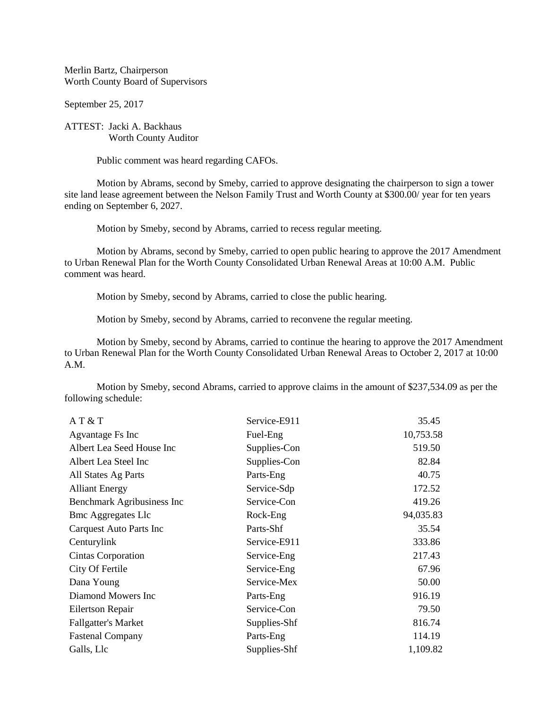Merlin Bartz, Chairperson Worth County Board of Supervisors

September 25, 2017

ATTEST: Jacki A. Backhaus Worth County Auditor

Public comment was heard regarding CAFOs.

Motion by Abrams, second by Smeby, carried to approve designating the chairperson to sign a tower site land lease agreement between the Nelson Family Trust and Worth County at \$300.00/ year for ten years ending on September 6, 2027.

Motion by Smeby, second by Abrams, carried to recess regular meeting.

Motion by Abrams, second by Smeby, carried to open public hearing to approve the 2017 Amendment to Urban Renewal Plan for the Worth County Consolidated Urban Renewal Areas at 10:00 A.M. Public comment was heard.

Motion by Smeby, second by Abrams, carried to close the public hearing.

Motion by Smeby, second by Abrams, carried to reconvene the regular meeting.

Motion by Smeby, second by Abrams, carried to continue the hearing to approve the 2017 Amendment to Urban Renewal Plan for the Worth County Consolidated Urban Renewal Areas to October 2, 2017 at 10:00 A.M.

Motion by Smeby, second Abrams, carried to approve claims in the amount of \$237,534.09 as per the following schedule:

| AT & T                     | Service-E911 | 35.45     |
|----------------------------|--------------|-----------|
| Agvantage Fs Inc           | Fuel-Eng     | 10,753.58 |
| Albert Lea Seed House Inc  | Supplies-Con | 519.50    |
| Albert Lea Steel Inc       | Supplies-Con | 82.84     |
| All States Ag Parts        | Parts-Eng    | 40.75     |
| <b>Alliant Energy</b>      | Service-Sdp  | 172.52    |
| Benchmark Agribusiness Inc | Service-Con  | 419.26    |
| <b>Bmc Aggregates Llc</b>  | Rock-Eng     | 94,035.83 |
| Carquest Auto Parts Inc    | Parts-Shf    | 35.54     |
| Centurylink                | Service-E911 | 333.86    |
| <b>Cintas Corporation</b>  | Service-Eng  | 217.43    |
| City Of Fertile            | Service-Eng  | 67.96     |
| Dana Young                 | Service-Mex  | 50.00     |
| Diamond Mowers Inc         | Parts-Eng    | 916.19    |
| Eilertson Repair           | Service-Con  | 79.50     |
| <b>Fallgatter's Market</b> | Supplies-Shf | 816.74    |
| <b>Fastenal Company</b>    | Parts-Eng    | 114.19    |
| Galls, Llc                 | Supplies-Shf | 1,109.82  |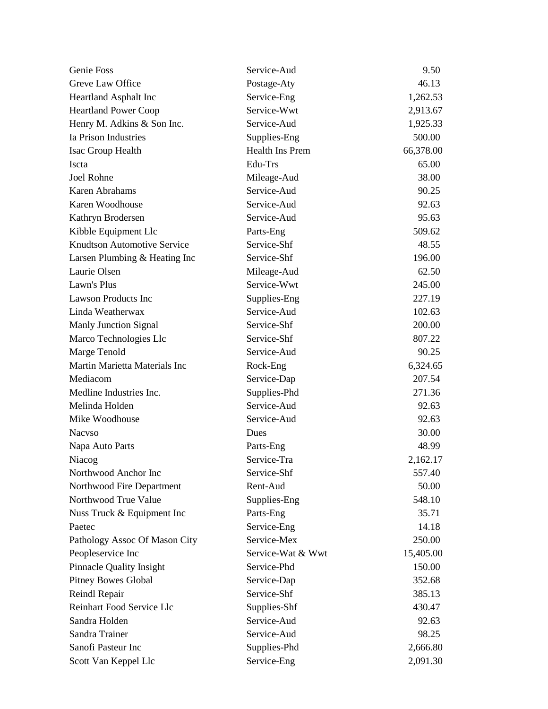| Genie Foss                         | Service-Aud            | 9.50      |
|------------------------------------|------------------------|-----------|
| Greve Law Office                   | Postage-Aty            | 46.13     |
| Heartland Asphalt Inc              | Service-Eng            | 1,262.53  |
| <b>Heartland Power Coop</b>        | Service-Wwt            | 2,913.67  |
| Henry M. Adkins & Son Inc.         | Service-Aud            | 1,925.33  |
| Ia Prison Industries               | Supplies-Eng           | 500.00    |
| Isac Group Health                  | <b>Health Ins Prem</b> | 66,378.00 |
| Iscta                              | Edu-Trs                | 65.00     |
| Joel Rohne                         | Mileage-Aud            | 38.00     |
| Karen Abrahams                     | Service-Aud            | 90.25     |
| Karen Woodhouse                    | Service-Aud            | 92.63     |
| Kathryn Brodersen                  | Service-Aud            | 95.63     |
| Kibble Equipment Llc               | Parts-Eng              | 509.62    |
| <b>Knudtson Automotive Service</b> | Service-Shf            | 48.55     |
| Larsen Plumbing & Heating Inc      | Service-Shf            | 196.00    |
| Laurie Olsen                       | Mileage-Aud            | 62.50     |
| Lawn's Plus                        | Service-Wwt            | 245.00    |
| <b>Lawson Products Inc</b>         | Supplies-Eng           | 227.19    |
| Linda Weatherwax                   | Service-Aud            | 102.63    |
| Manly Junction Signal              | Service-Shf            | 200.00    |
| Marco Technologies Llc             | Service-Shf            | 807.22    |
| Marge Tenold                       | Service-Aud            | 90.25     |
| Martin Marietta Materials Inc      | Rock-Eng               | 6,324.65  |
| Mediacom                           | Service-Dap            | 207.54    |
| Medline Industries Inc.            | Supplies-Phd           | 271.36    |
| Melinda Holden                     | Service-Aud            | 92.63     |
| Mike Woodhouse                     | Service-Aud            | 92.63     |
| <b>Nacyso</b>                      | Dues                   | 30.00     |
| Napa Auto Parts                    | Parts-Eng              | 48.99     |
| Niacog                             | Service-Tra            | 2,162.17  |
| Northwood Anchor Inc               | Service-Shf            | 557.40    |
| Northwood Fire Department          | Rent-Aud               | 50.00     |
| Northwood True Value               | Supplies-Eng           | 548.10    |
| Nuss Truck & Equipment Inc         | Parts-Eng              | 35.71     |
| Paetec                             | Service-Eng            | 14.18     |
| Pathology Assoc Of Mason City      | Service-Mex            | 250.00    |
| Peopleservice Inc                  | Service-Wat & Wwt      | 15,405.00 |
| <b>Pinnacle Quality Insight</b>    | Service-Phd            | 150.00    |
| <b>Pitney Bowes Global</b>         | Service-Dap            | 352.68    |
| Reindl Repair                      | Service-Shf            | 385.13    |
| Reinhart Food Service Llc          | Supplies-Shf           | 430.47    |
| Sandra Holden                      | Service-Aud            | 92.63     |
| Sandra Trainer                     | Service-Aud            | 98.25     |
| Sanofi Pasteur Inc                 | Supplies-Phd           | 2,666.80  |
| Scott Van Keppel Llc               | Service-Eng            | 2,091.30  |